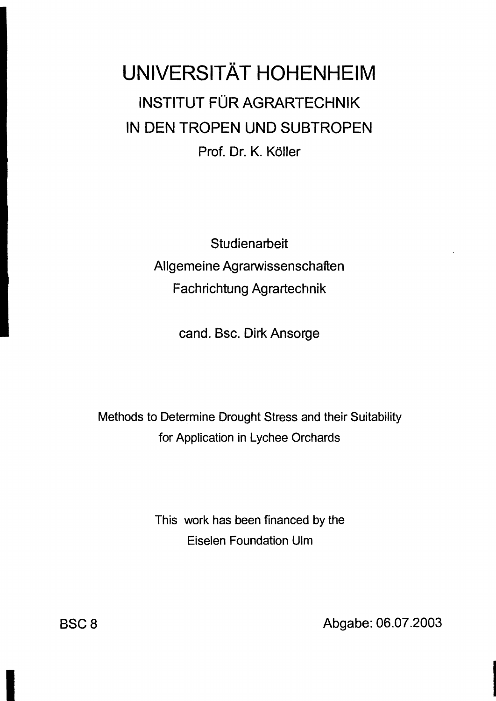## **UNIVERSITÄT HOHENHEIM** INSTITUT FÜR AGRARTECHNIK IN DEN TROPEN UND SUBTROPEN Prof. Dr. K. Köller

**Studienarbeit** Allgemeine Agrarwissenschaften Fachrichtung Agrartechnik

cand. Bsc. Dirk Ansorge

Methods to Determine Drought Stress and their Suitability for Application in Lychee Orchards

> This work has been financed by the Eiselen Foundation Ulm

B8CB Abgabe: 06.07.2003